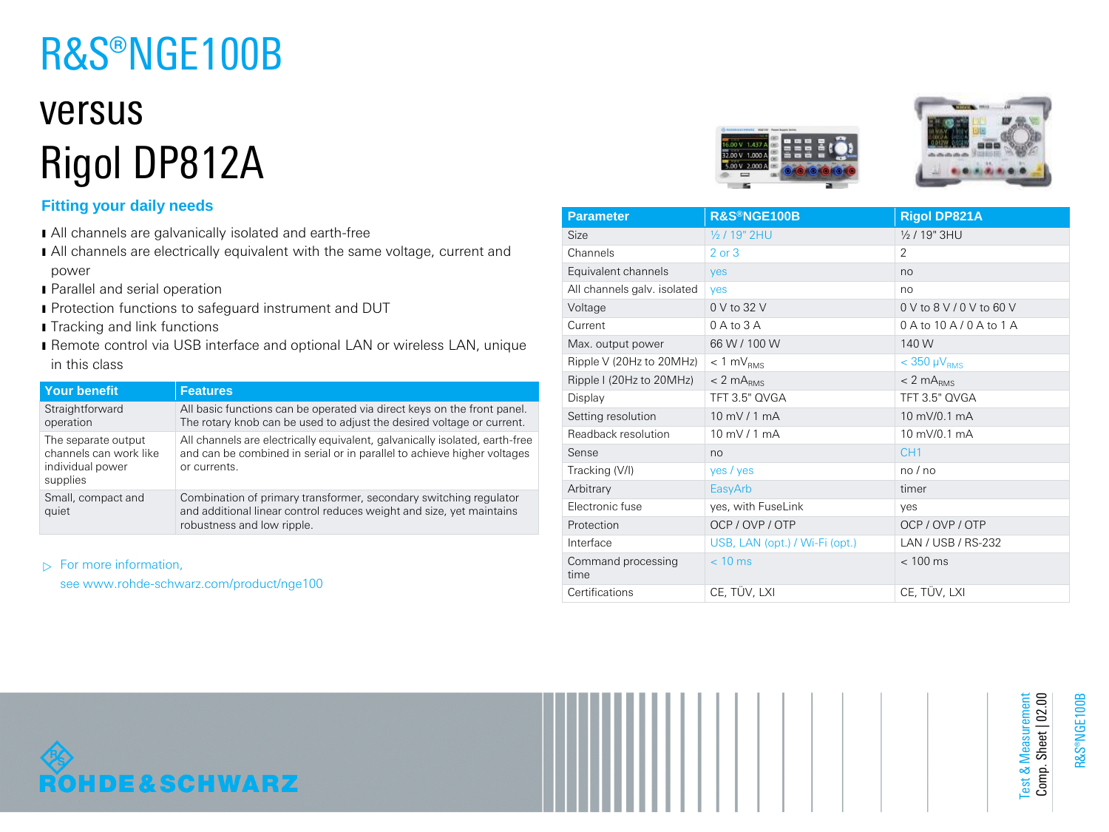# R&S®NGE100B

## versus Rigol DP812A

### **Fitting your daily needs**

- ı All channels are galvanically isolated and earth-free
- I All channels are electrically equivalent with the same voltage, current and power
- **I** Parallel and serial operation
- **I** Protection functions to safeguard instrument and DUT
- **I** Tracking and link functions
- ı Remote control via USB interface and optional LAN or wireless LAN, unique in this class

| <b>Your benefit</b>                                                           | <b>Features</b>                                                                                                                                                         |
|-------------------------------------------------------------------------------|-------------------------------------------------------------------------------------------------------------------------------------------------------------------------|
| Straightforward<br>operation                                                  | All basic functions can be operated via direct keys on the front panel.<br>The rotary knob can be used to adjust the desired voltage or current.                        |
| The separate output<br>channels can work like<br>individual power<br>supplies | All channels are electrically equivalent, galvanically isolated, earth-free<br>and can be combined in serial or in parallel to achieve higher voltages<br>or currents.  |
| Small, compact and<br>quiet                                                   | Combination of primary transformer, secondary switching regulator<br>and additional linear control reduces weight and size, yet maintains<br>robustness and low ripple. |

 $\triangleright$  For more information,

see www.rohde-schwarz.com/product/nge100





| <b>Parameter</b>            | R&S®NGE100B                    | <b>Rigol DP821A</b>                |
|-----------------------------|--------------------------------|------------------------------------|
| Size                        | 1/2 / 19" 2HU                  | $\frac{1}{2}$ / 19" 3HU            |
| Channels                    | $2$ or $3$                     | $\mathcal{P}$                      |
| Equivalent channels         | yes                            | no                                 |
| All channels galv. isolated | <b>ves</b>                     | no                                 |
| Voltage                     | 0 V to 32 V                    | 0 V to 8 V / 0 V to 60 V           |
| Current                     | $0A$ to $3A$                   | $0$ A to $10$ A $/$ $0$ A to $1$ A |
| Max. output power           | 66 W / 100 W                   | 140 W                              |
| Ripple V (20Hz to 20MHz)    | $< 1$ mV <sub>RMS</sub>        | $<$ 350 $\mu$ V <sub>RMS</sub>     |
| Ripple I (20Hz to 20MHz)    | $< 2$ m $ARMS$                 | $< 2$ m $ARMS$                     |
| Display                     | TFT 3.5" QVGA                  | TFT 3.5" QVGA                      |
| Setting resolution          | $10$ mV / 1 mA                 | 10 mV/0.1 mA                       |
| Readback resolution         | $10 \text{ mV}$ / 1 mA         | 10 mV/0.1 mA                       |
| Sense                       | no                             | CH <sub>1</sub>                    |
| Tracking (V/I)              | yes / yes                      | no/no                              |
| Arbitrary                   | EasyArb                        | timer                              |
| Electronic fuse             | yes, with FuseLink             | yes                                |
| Protection                  | OCP / OVP / OTP                | OCP / OVP / OTP                    |
| Interface                   | USB, LAN (opt.) / Wi-Fi (opt.) | LAN / USB / RS-232                 |
| Command processing<br>time  | $< 10$ ms                      | $< 100$ ms                         |
| Certifications              | CE, TÜV, LXI                   | CE, TÜV, LXI                       |



R&S®NGE100B

Test & Measurement Comp. Sheet | 02.00

Test & Measurement<br>Comp. Sheet | 02.00